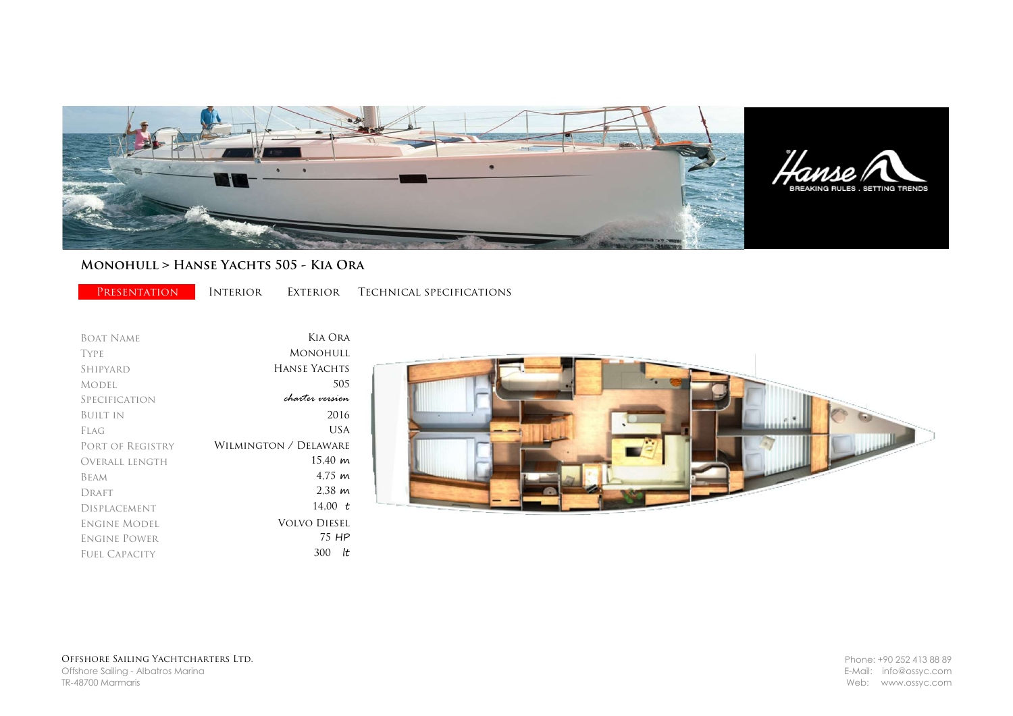

## MONOHULL > HANSE YACHTS 505 - KIA ORA

PRESENTATION INTERIOR EXTERIOR TECHNICAL SPECIFICATIONS

Boat Name Type Shipyard Model **SPECIFICATION** Built in Flag Port of Registry Overall length Beam DRAFT Displacement Engine Model Engine Power Fuel Capacity Kia Ora Monohull Hanse Yachts 505 2016 charter version 300 lt USA Wilmington / Delaware 15,40 m 4,75 m 2,38 m 14,00 t Volvo Diesel 75 HP